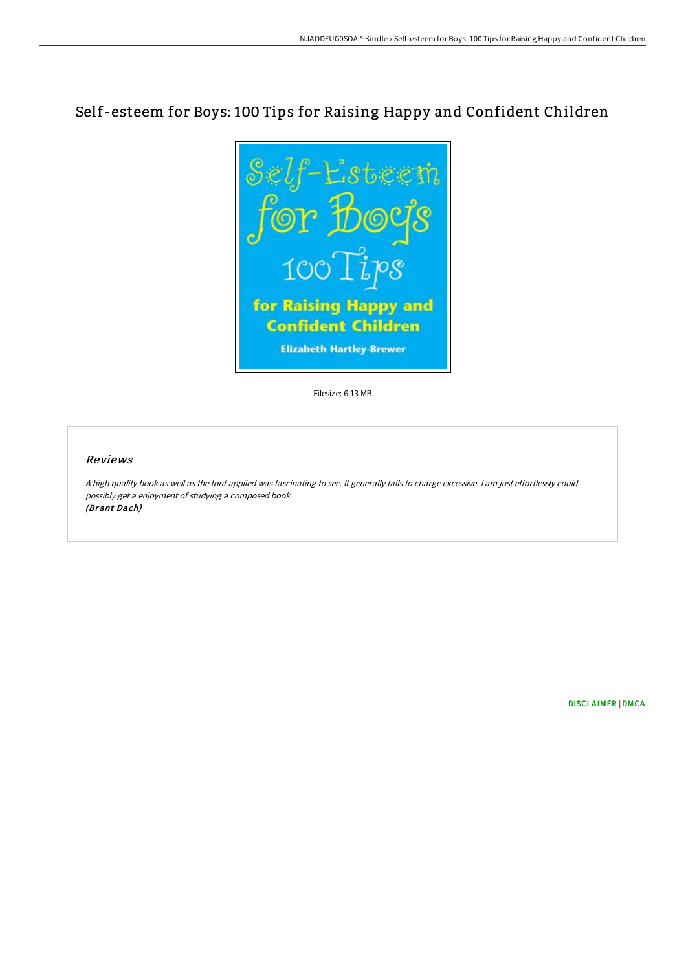## Self-esteem for Boys: 100 Tips for Raising Happy and Confident Children



Filesize: 6.13 MB

## Reviews

<sup>A</sup> high quality book as well as the font applied was fascinating to see. It generally fails to charge excessive. <sup>I</sup> am just effortlessly could possibly get <sup>a</sup> enjoyment of studying <sup>a</sup> composed book. (Brant Dach)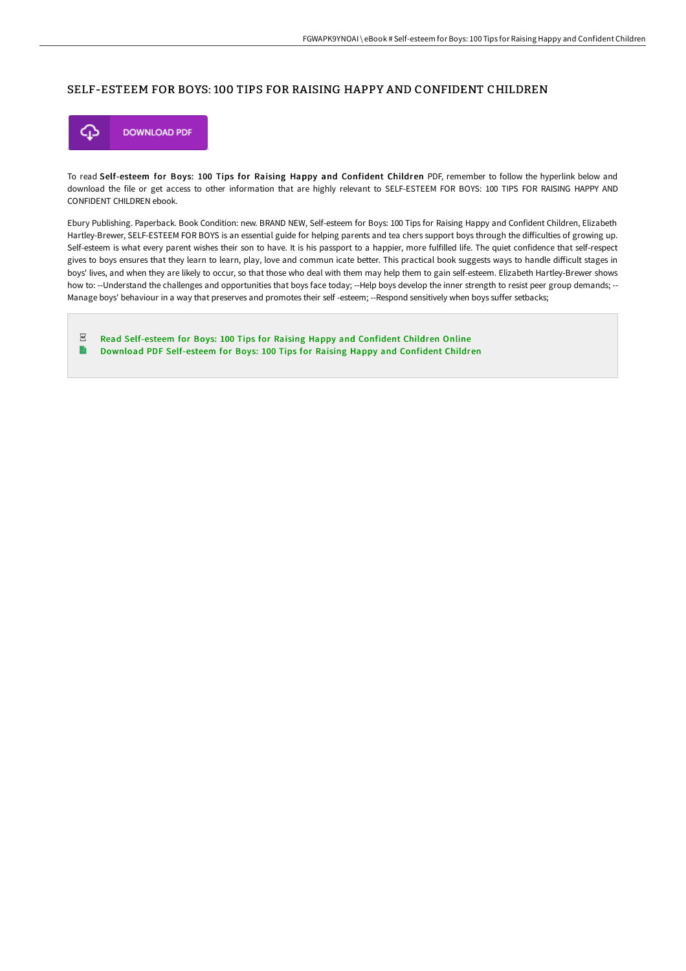## SELF-ESTEEM FOR BOYS: 100 TIPS FOR RAISING HAPPY AND CONFIDENT CHILDREN



To read Self-esteem for Boys: 100 Tips for Raising Happy and Confident Children PDF, remember to follow the hyperlink below and download the file or get access to other information that are highly relevant to SELF-ESTEEM FOR BOYS: 100 TIPS FOR RAISING HAPPY AND CONFIDENT CHILDREN ebook.

Ebury Publishing. Paperback. Book Condition: new. BRAND NEW, Self-esteem for Boys: 100 Tips for Raising Happy and Confident Children, Elizabeth Hartley-Brewer, SELF-ESTEEM FOR BOYS is an essential guide for helping parents and tea chers support boys through the difficulties of growing up. Self-esteem is what every parent wishes their son to have. It is his passport to a happier, more fulfilled life. The quiet confidence that self-respect gives to boys ensures that they learn to learn, play, love and commun icate better. This practical book suggests ways to handle difficult stages in boys' lives, and when they are likely to occur, so that those who deal with them may help them to gain self-esteem. Elizabeth Hartley-Brewer shows how to: --Understand the challenges and opportunities that boys face today; --Help boys develop the inner strength to resist peer group demands; --Manage boys' behaviour in a way that preserves and promotes their self -esteem; --Respond sensitively when boys suffer setbacks;

 $_{\rm PDF}$ Read [Self-esteem](http://techno-pub.tech/self-esteem-for-boys-100-tips-for-raising-happy-.html) for Boys: 100 Tips for Raising Happy and Confident Children Online B Download PDF [Self-esteem](http://techno-pub.tech/self-esteem-for-boys-100-tips-for-raising-happy-.html) for Boys: 100 Tips for Raising Happy and Confident Children